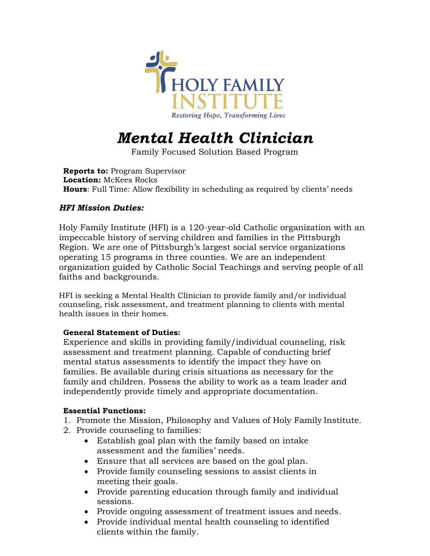

# *Mental Health Clinician*

Family Focused Solution Based Program

**Reports to:** Program Supervisor **Location:** McKees Rocks **Hours**: Full Time: Allow flexibility in scheduling as required by clients' needs

# *HFI Mission Duties:*

Holy Family Institute (HFI) is a 120-year-old Catholic organization with an impeccable history of serving children and families in the Pittsburgh Region. We are one of Pittsburgh's largest social service organizations operating 15 programs in three counties. We are an independent organization guided by Catholic Social Teachings and serving people of all faiths and backgrounds.

HFI is seeking a Mental Health Clinician to provide family and/or individual counseling, risk assessment, and treatment planning to clients with mental health issues in their homes.

### **General Statement of Duties:**

Experience and skills in providing family/individual counseling, risk assessment and treatment planning. Capable of conducting brief mental status assessments to identify the impact they have on families. Be available during crisis situations as necessary for the family and children. Possess the ability to work as a team leader and independently provide timely and appropriate documentation.

#### **Essential Functions:**

- 1. Promote the Mission, Philosophy and Values of Holy Family Institute.
- 2. Provide counseling to families:
	- Establish goal plan with the family based on intake assessment and the families' needs.
	- Ensure that all services are based on the goal plan.
	- Provide family counseling sessions to assist clients in meeting their goals.
	- Provide parenting education through family and individual sessions.
	- Provide ongoing assessment of treatment issues and needs.
	- Provide individual mental health counseling to identified clients within the family.